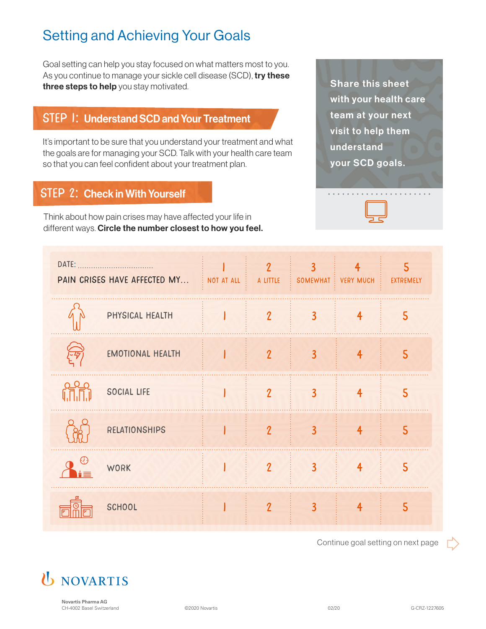# Setting and Achieving Your Goals

Goal setting can help you stay focused on what matters most to you. As you continue to manage your sickle cell disease (SCD), try these three steps to help you stay motivated.

### STEP 1: Understand SCD and Your Treatment

It's important to be sure that you understand your treatment and what the goals are for managing your SCD. Talk with your health care team so that you can feel confident about your treatment plan.

### STEP 2: Check in With Yourself

Think about how pain crises may have affected your life in different ways. Circle the number closest to how you feel.

Share this sheet with your health care team at your next visit to help them understand your SCD goals.



| PAIN CRISES HAVE AFFECTED MY : NOT AT ALL : |                         |              | $\boldsymbol{\eta}$<br>A LITTLE | 3                       | 4<br>SOMEWHAT : VERY MUCH | EXTREMELY               |
|---------------------------------------------|-------------------------|--------------|---------------------------------|-------------------------|---------------------------|-------------------------|
|                                             | PHYSICAL HEALTH         | $\mathbb{R}$ | $\overline{2}$                  | $\overline{3}$          | $\overline{4}$            | 5                       |
|                                             | <b>EMOTIONAL HEALTH</b> |              | $\overline{2}$                  | $\overline{3}$          | $\overline{4}$            | 5                       |
|                                             | <b>SOCIAL LIFE</b>      |              | $\overline{2}$                  | $\overline{\mathbf{3}}$ | $\overline{4}$            | 5                       |
|                                             | <b>RELATIONSHIPS</b>    |              | $\overline{\mathcal{L}}$        | $\overline{\mathbf{3}}$ | $\overline{4}$            | 5                       |
|                                             | <b>WORK</b>             |              | $\overline{2}$                  | $\overline{3}$          | $\overline{4}$            | $\overline{\mathsf{S}}$ |
|                                             | <b>SCHOOL</b>           |              | $\boldsymbol{\eta}$             | $\overline{\mathbf{3}}$ | $\overline{\mathbf{4}}$   | 5                       |

Continue goal setting on next page





**Novartis Pharma AG** CH-4002 Basel Switzerland C-CRZ-1227605 (CH-4002 Basel Switzerland C-CRZ-1227605 CH-4002 Basel Switzerland C-CRZ-1227605